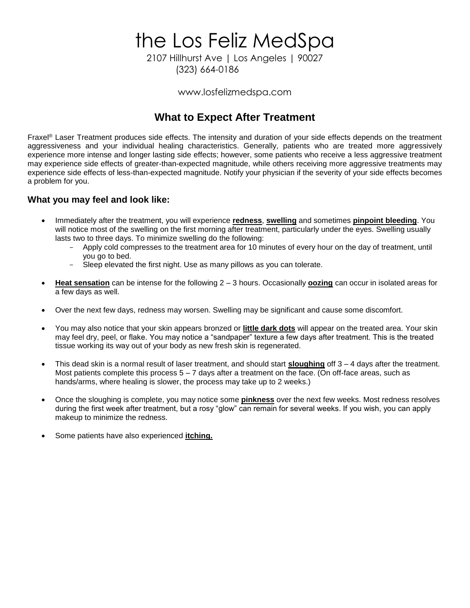the Los Feliz MedSpa

2107 Hillhurst Ave | Los Angeles | 90027 (323) 664-0186

www.losfelizmedspa.com

## **What to Expect After Treatment**

Fraxel® Laser Treatment produces side effects. The intensity and duration of your side effects depends on the treatment aggressiveness and your individual healing characteristics. Generally, patients who are treated more aggressively experience more intense and longer lasting side effects; however, some patients who receive a less aggressive treatment may experience side effects of greater-than-expected magnitude, while others receiving more aggressive treatments may experience side effects of less-than-expected magnitude. Notify your physician if the severity of your side effects becomes a problem for you.

### **What you may feel and look like:**

- Immediately after the treatment, you will experience **redness**, **swelling** and sometimes **pinpoint bleeding**. You will notice most of the swelling on the first morning after treatment, particularly under the eyes. Swelling usually lasts two to three days. To minimize swelling do the following:
	- Apply cold compresses to the treatment area for 10 minutes of every hour on the day of treatment, until you go to bed.
	- Sleep elevated the first night. Use as many pillows as you can tolerate.
- **Heat sensation** can be intense for the following 2 3 hours. Occasionally **oozing** can occur in isolated areas for a few days as well.
- Over the next few days, redness may worsen. Swelling may be significant and cause some discomfort.
- You may also notice that your skin appears bronzed or **little dark dots** will appear on the treated area. Your skin may feel dry, peel, or flake. You may notice a "sandpaper" texture a few days after treatment. This is the treated tissue working its way out of your body as new fresh skin is regenerated.
- This dead skin is a normal result of laser treatment, and should start **sloughing** off 3 4 days after the treatment. Most patients complete this process 5 – 7 days after a treatment on the face. (On off-face areas, such as hands/arms, where healing is slower, the process may take up to 2 weeks.)
- Once the sloughing is complete, you may notice some **pinkness** over the next few weeks. Most redness resolves during the first week after treatment, but a rosy "glow" can remain for several weeks. If you wish, you can apply makeup to minimize the redness.
- Some patients have also experienced **itching.**